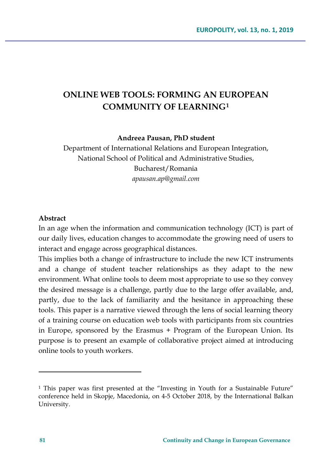# **ONLINE WEB TOOLS: FORMING AN EUROPEAN COMMUNITY OF LEARNING[1](#page-0-0)**

#### **Andreea Pausan, PhD student**

Department of International Relations and European Integration, National School of Political and Administrative Studies, Bucharest/Romania *[apausan.ap@gmail.com](mailto:apausan.ap@gmail.com)*

#### **Abstract**

In an age when the information and communication technology (ICT) is part of our daily lives, education changes to accommodate the growing need of users to interact and engage across geographical distances.

This implies both a change of infrastructure to include the new ICT instruments and a change of student teacher relationships as they adapt to the new environment. What online tools to deem most appropriate to use so they convey the desired message is a challenge, partly due to the large offer available, and, partly, due to the lack of familiarity and the hesitance in approaching these tools. This paper is a narrative viewed through the lens of social learning theory of a training course on education web tools with participants from six countries in Europe, sponsored by the Erasmus + Program of the European Union. Its purpose is to present an example of collaborative project aimed at introducing online tools to youth workers.

 $\overline{\phantom{a}}$ 

<span id="page-0-0"></span><sup>&</sup>lt;sup>1</sup> This paper was first presented at the "Investing in Youth for a Sustainable Future" conference held in Skopje, Macedonia, on 4-5 October 2018, by the International Balkan University.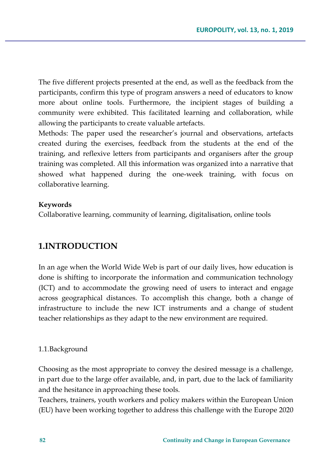The five different projects presented at the end, as well as the feedback from the participants, confirm this type of program answers a need of educators to know more about online tools. Furthermore, the incipient stages of building a community were exhibited. This facilitated learning and collaboration, while allowing the participants to create valuable artefacts.

Methods: The paper used the researcher's journal and observations, artefacts created during the exercises, feedback from the students at the end of the training, and reflexive letters from participants and organisers after the group training was completed. All this information was organized into a narrative that showed what happened during the one-week training, with focus on collaborative learning.

#### **Keywords**

Collaborative learning, community of learning, digitalisation, online tools

# **1.INTRODUCTION**

In an age when the World Wide Web is part of our daily lives, how education is done is shifting to incorporate the information and communication technology (ICT) and to accommodate the growing need of users to interact and engage across geographical distances. To accomplish this change, both a change of infrastructure to include the new ICT instruments and a change of student teacher relationships as they adapt to the new environment are required.

#### 1.1.Background

Choosing as the most appropriate to convey the desired message is a challenge, in part due to the large offer available, and, in part, due to the lack of familiarity and the hesitance in approaching these tools.

Teachers, trainers, youth workers and policy makers within the European Union (EU) have been working together to address this challenge with the Europe 2020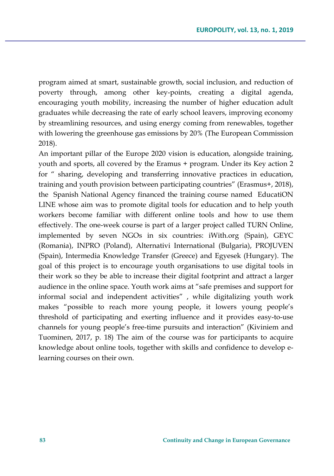program aimed at smart, sustainable growth, social inclusion, and reduction of poverty through, among other key-points, creating a digital agenda, encouraging youth mobility, increasing the number of higher education adult graduates while decreasing the rate of early school leavers, improving economy by streamlining resources, and using energy coming from renewables, together with lowering the greenhouse gas emissions by 20% (The European Commission 2018).

An important pillar of the Europe 2020 vision is education, alongside training, youth and sports, all covered by the Eramus + program. Under its Key action 2 for " sharing, developing and transferring innovative practices in education, training and youth provision between participating countries" (Erasmus+, 2018), the Spanish National Agency financed the training course named EducatiON LINE whose aim was to promote digital tools for education and to help youth workers become familiar with different online tools and how to use them effectively. The one-week course is part of a larger project called TURN Online, implemented by seven NGOs in six countries: iWith.org (Spain), GEYC (Romania), INPRO (Poland), Alternativi International (Bulgaria), PROJUVEN (Spain), Intermedia Knowledge Transfer (Greece) and Egyesek (Hungary). The goal of this project is to encourage youth organisations to use digital tools in their work so they be able to increase their digital footprint and attract a larger audience in the online space. Youth work aims at "safe premises and support for informal social and independent activities" , while digitalizing youth work makes "possible to reach more young people, it lowers young people's threshold of participating and exerting influence and it provides easy-to-use channels for young people's free-time pursuits and interaction" (Kiviniem and Tuominen, 2017, p. 18) The aim of the course was for participants to acquire knowledge about online tools, together with skills and confidence to develop elearning courses on their own.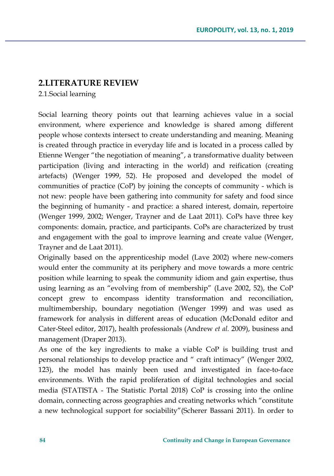# **2.LITERATURE REVIEW**

2.1.Social learning

Social learning theory points out that learning achieves value in a social environment, where experience and knowledge is shared among different people whose contexts intersect to create understanding and meaning. Meaning is created through practice in everyday life and is located in a process called by Etienne Wenger "the negotiation of meaning", a transformative duality between participation (living and interacting in the world) and reification (creating artefacts) (Wenger 1999, 52). He proposed and developed the model of communities of practice (CoP) by joining the concepts of community - which is not new: people have been gathering into community for safety and food since the beginning of humanity - and practice: a shared interest, domain, repertoire (Wenger 1999, 2002; Wenger, Trayner and de Laat 2011). CoPs have three key components: domain, practice, and participants. CoPs are characterized by trust and engagement with the goal to improve learning and create value (Wenger, Trayner and de Laat 2011).

Originally based on the apprenticeship model (Lave 2002) where new-comers would enter the community at its periphery and move towards a more centric position while learning to speak the community idiom and gain expertise, thus using learning as an "evolving from of membership" (Lave 2002, 52), the CoP concept grew to encompass identity transformation and reconciliation, multimembership, boundary negotiation (Wenger 1999) and was used as framework for analysis in different areas of education (McDonald editor and Cater-Steel editor, 2017), health professionals (Andrew *et al.* 2009), business and management (Draper 2013).

As one of the key ingredients to make a viable CoP is building trust and personal relationships to develop practice and " craft intimacy" (Wenger 2002, 123), the model has mainly been used and investigated in face-to-face environments. With the rapid proliferation of digital technologies and social media (STATISTA - The Statistic Portal 2018) CoP is crossing into the online domain, connecting across geographies and creating networks which "constitute a new technological support for sociability"(Scherer Bassani 2011). In order to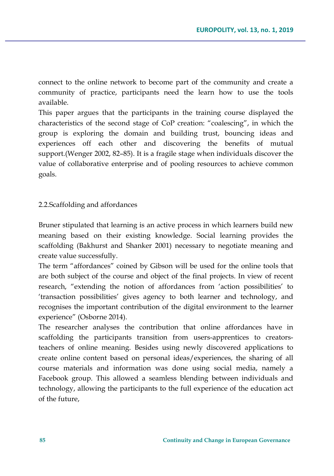connect to the online network to become part of the community and create a community of practice, participants need the learn how to use the tools available.

This paper argues that the participants in the training course displayed the characteristics of the second stage of CoP creation: "coalescing", in which the group is exploring the domain and building trust, bouncing ideas and experiences off each other and discovering the benefits of mutual support.(Wenger 2002, 82–85). It is a fragile stage when individuals discover the value of collaborative enterprise and of pooling resources to achieve common goals.

## 2.2.Scaffolding and affordances

Bruner stipulated that learning is an active process in which learners build new meaning based on their existing knowledge. Social learning provides the scaffolding (Bakhurst and Shanker 2001) necessary to negotiate meaning and create value successfully.

The term "affordances" coined by Gibson will be used for the online tools that are both subject of the course and object of the final projects. In view of recent research, "extending the notion of affordances from 'action possibilities' to 'transaction possibilities' gives agency to both learner and technology, and recognises the important contribution of the digital environment to the learner experience" (Osborne 2014).

The researcher analyses the contribution that online affordances have in scaffolding the participants transition from users-apprentices to creatorsteachers of online meaning. Besides using newly discovered applications to create online content based on personal ideas/experiences, the sharing of all course materials and information was done using social media, namely a Facebook group. This allowed a seamless blending between individuals and technology, allowing the participants to the full experience of the education act of the future,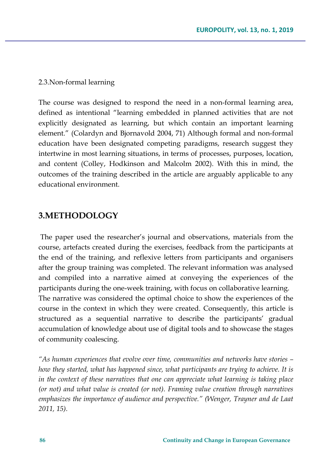#### 2.3.Non-formal learning

The course was designed to respond the need in a non-formal learning area, defined as intentional "learning embedded in planned activities that are not explicitly designated as learning, but which contain an important learning element." (Colardyn and Bjornavold 2004, 71) Although formal and non-formal education have been designated competing paradigms, research suggest they intertwine in most learning situations, in terms of processes, purposes, location, and content (Colley, Hodkinson and Malcolm 2002). With this in mind, the outcomes of the training described in the article are arguably applicable to any educational environment.

## **3.METHODOLOGY**

The paper used the researcher's journal and observations, materials from the course, artefacts created during the exercises, feedback from the participants at the end of the training, and reflexive letters from participants and organisers after the group training was completed. The relevant information was analysed and compiled into a narrative aimed at conveying the experiences of the participants during the one-week training, with focus on collaborative learning. The narrative was considered the optimal choice to show the experiences of the course in the context in which they were created. Consequently, this article is structured as a sequential narrative to describe the participants' gradual accumulation of knowledge about use of digital tools and to showcase the stages of community coalescing.

*"As human experiences that evolve over time, communities and networks have stories – how they started, what has happened since, what participants are trying to achieve. It is in the context of these narratives that one can appreciate what learning is taking place (or not) and what value is created (or not). Framing value creation through narratives emphasizes the importance of audience and perspective." (Wenger, Trayner and de Laat 2011, 15).*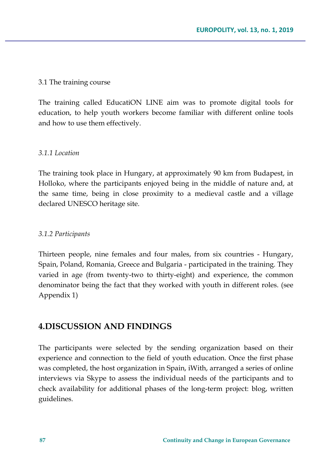## 3.1 The training course

The training called EducatiON LINE aim was to promote digital tools for education, to help youth workers become familiar with different online tools and how to use them effectively.

## *3.1.1 Location*

The training took place in Hungary, at approximately 90 km from Budapest, in Holloko, where the participants enjoyed being in the middle of nature and, at the same time, being in close proximity to a medieval castle and a village declared UNESCO heritage site.

## *3.1.2 Participants*

Thirteen people, nine females and four males, from six countries - Hungary, Spain, Poland, Romania, Greece and Bulgaria - participated in the training. They varied in age (from twenty-two to thirty-eight) and experience, the common denominator being the fact that they worked with youth in different roles. (see Appendix 1)

# **4.DISCUSSION AND FINDINGS**

The participants were selected by the sending organization based on their experience and connection to the field of youth education. Once the first phase was completed, the host organization in Spain, iWith, arranged a series of online interviews via Skype to assess the individual needs of the participants and to check availability for additional phases of the long-term project: blog, written guidelines.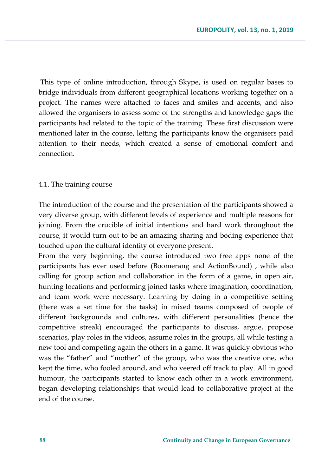This type of online introduction, through Skype, is used on regular bases to bridge individuals from different geographical locations working together on a project. The names were attached to faces and smiles and accents, and also allowed the organisers to assess some of the strengths and knowledge gaps the participants had related to the topic of the training. These first discussion were mentioned later in the course, letting the participants know the organisers paid attention to their needs, which created a sense of emotional comfort and connection.

#### 4.1. The training course

The introduction of the course and the presentation of the participants showed a very diverse group, with different levels of experience and multiple reasons for joining. From the crucible of initial intentions and hard work throughout the course, it would turn out to be an amazing sharing and boding experience that touched upon the cultural identity of everyone present.

From the very beginning, the course introduced two free apps none of the participants has ever used before (Boomerang and ActionBound) , while also calling for group action and collaboration in the form of a game, in open air, hunting locations and performing joined tasks where imagination, coordination, and team work were necessary. Learning by doing in a competitive setting (there was a set time for the tasks) in mixed teams composed of people of different backgrounds and cultures, with different personalities (hence the competitive streak) encouraged the participants to discuss, argue, propose scenarios, play roles in the videos, assume roles in the groups, all while testing a new tool and competing again the others in a game. It was quickly obvious who was the "father" and "mother" of the group, who was the creative one, who kept the time, who fooled around, and who veered off track to play. All in good humour, the participants started to know each other in a work environment, began developing relationships that would lead to collaborative project at the end of the course.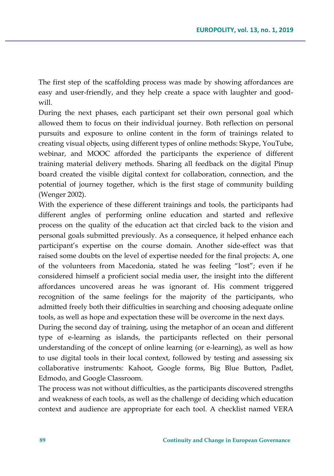The first step of the scaffolding process was made by showing affordances are easy and user-friendly, and they help create a space with laughter and goodwill.

During the next phases, each participant set their own personal goal which allowed them to focus on their individual journey. Both reflection on personal pursuits and exposure to online content in the form of trainings related to creating visual objects, using different types of online methods: Skype, YouTube, webinar, and MOOC afforded the participants the experience of different training material delivery methods. Sharing all feedback on the digital Pinup board created the visible digital context for collaboration, connection, and the potential of journey together, which is the first stage of community building (Wenger 2002).

With the experience of these different trainings and tools, the participants had different angles of performing online education and started and reflexive process on the quality of the education act that circled back to the vision and personal goals submitted previously. As a consequence, it helped enhance each participant's expertise on the course domain. Another side-effect was that raised some doubts on the level of expertise needed for the final projects: A, one of the volunteers from Macedonia, stated he was feeling "lost"; even if he considered himself a proficient social media user, the insight into the different affordances uncovered areas he was ignorant of. His comment triggered recognition of the same feelings for the majority of the participants, who admitted freely both their difficulties in searching and choosing adequate online tools, as well as hope and expectation these will be overcome in the next days.

During the second day of training, using the metaphor of an ocean and different type of e-learning as islands, the participants reflected on their personal understanding of the concept of online learning (or e-learning), as well as how to use digital tools in their local context, followed by testing and assessing six collaborative instruments: Kahoot, Google forms, Big Blue Button, Padlet, Edmodo, and Google Classroom.

The process was not without difficulties, as the participants discovered strengths and weakness of each tools, as well as the challenge of deciding which education context and audience are appropriate for each tool. A checklist named VERA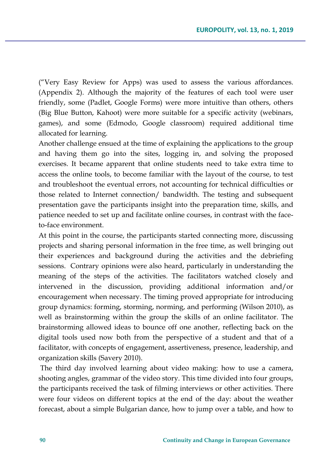("Very Easy Review for Apps) was used to assess the various affordances. (Appendix 2). Although the majority of the features of each tool were user friendly, some (Padlet, Google Forms) were more intuitive than others, others (Big Blue Button, Kahoot) were more suitable for a specific activity (webinars, games), and some (Edmodo, Google classroom) required additional time allocated for learning.

Another challenge ensued at the time of explaining the applications to the group and having them go into the sites, logging in, and solving the proposed exercises. It became apparent that online students need to take extra time to access the online tools, to become familiar with the layout of the course, to test and troubleshoot the eventual errors, not accounting for technical difficulties or those related to Internet connection/ bandwidth. The testing and subsequent presentation gave the participants insight into the preparation time, skills, and patience needed to set up and facilitate online courses, in contrast with the faceto-face environment.

At this point in the course, the participants started connecting more, discussing projects and sharing personal information in the free time, as well bringing out their experiences and background during the activities and the debriefing sessions. Contrary opinions were also heard, particularly in understanding the meaning of the steps of the activities. The facilitators watched closely and intervened in the discussion, providing additional information and/or encouragement when necessary. The timing proved appropriate for introducing group dynamics: forming, storming, norming, and performing (Wilson 2010), as well as brainstorming within the group the skills of an online facilitator. The brainstorming allowed ideas to bounce off one another, reflecting back on the digital tools used now both from the perspective of a student and that of a facilitator, with concepts of engagement, assertiveness, presence, leadership, and organization skills (Savery 2010).

The third day involved learning about video making: how to use a camera, shooting angles, grammar of the video story. This time divided into four groups, the participants received the task of filming interviews or other activities. There were four videos on different topics at the end of the day: about the weather forecast, about a simple Bulgarian dance, how to jump over a table, and how to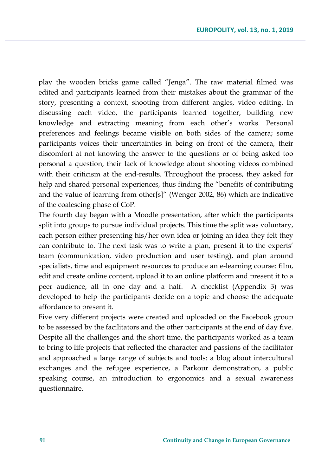play the wooden bricks game called "Jenga". The raw material filmed was edited and participants learned from their mistakes about the grammar of the story, presenting a context, shooting from different angles, video editing. In discussing each video, the participants learned together, building new knowledge and extracting meaning from each other's works. Personal preferences and feelings became visible on both sides of the camera; some participants voices their uncertainties in being on front of the camera, their discomfort at not knowing the answer to the questions or of being asked too personal a question, their lack of knowledge about shooting videos combined with their criticism at the end-results. Throughout the process, they asked for help and shared personal experiences, thus finding the "benefits of contributing and the value of learning from other[s]" (Wenger 2002, 86) which are indicative of the coalescing phase of CoP.

The fourth day began with a Moodle presentation, after which the participants split into groups to pursue individual projects. This time the split was voluntary, each person either presenting his/her own idea or joining an idea they felt they can contribute to. The next task was to write a plan, present it to the experts' team (communication, video production and user testing), and plan around specialists, time and equipment resources to produce an e-learning course: film, edit and create online content, upload it to an online platform and present it to a peer audience, all in one day and a half. A checklist (Appendix 3) was developed to help the participants decide on a topic and choose the adequate affordance to present it.

Five very different projects were created and uploaded on the Facebook group to be assessed by the facilitators and the other participants at the end of day five. Despite all the challenges and the short time, the participants worked as a team to bring to life projects that reflected the character and passions of the facilitator and approached a large range of subjects and tools: a blog about intercultural exchanges and the refugee experience, a Parkour demonstration, a public speaking course, an introduction to ergonomics and a sexual awareness questionnaire.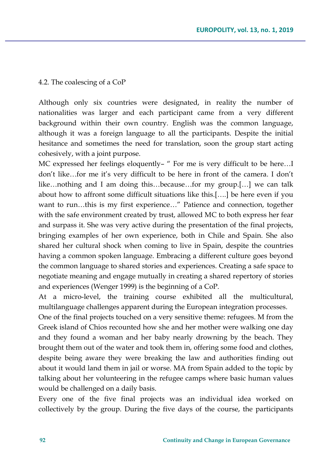## 4.2. The coalescing of a CoP

Although only six countries were designated, in reality the number of nationalities was larger and each participant came from a very different background within their own country. English was the common language, although it was a foreign language to all the participants. Despite the initial hesitance and sometimes the need for translation, soon the group start acting cohesively, with a joint purpose.

MC expressed her feelings eloquently– " For me is very difficult to be here…I don't like…for me it's very difficult to be here in front of the camera. I don't like…nothing and I am doing this…because…for my group.[…] we can talk about how to affront some difficult situations like this.[….] be here even if you want to run…this is my first experience…" Patience and connection, together with the safe environment created by trust, allowed MC to both express her fear and surpass it. She was very active during the presentation of the final projects, bringing examples of her own experience, both in Chile and Spain. She also shared her cultural shock when coming to live in Spain, despite the countries having a common spoken language. Embracing a different culture goes beyond the common language to shared stories and experiences. Creating a safe space to negotiate meaning and engage mutually in creating a shared repertory of stories and experiences (Wenger 1999) is the beginning of a CoP.

At a micro-level, the training course exhibited all the multicultural, multilanguage challenges apparent during the European integration processes.

One of the final projects touched on a very sensitive theme: refugees. M from the Greek island of Chios recounted how she and her mother were walking one day and they found a woman and her baby nearly drowning by the beach. They brought them out of the water and took them in, offering some food and clothes, despite being aware they were breaking the law and authorities finding out about it would land them in jail or worse. MA from Spain added to the topic by talking about her volunteering in the refugee camps where basic human values would be challenged on a daily basis.

Every one of the five final projects was an individual idea worked on collectively by the group. During the five days of the course, the participants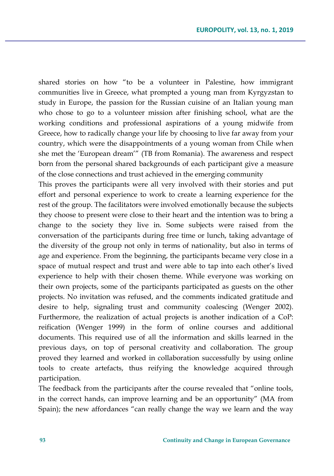shared stories on how "to be a volunteer in Palestine, how immigrant communities live in Greece, what prompted a young man from Kyrgyzstan to study in Europe, the passion for the Russian cuisine of an Italian young man who chose to go to a volunteer mission after finishing school, what are the working conditions and professional aspirations of a young midwife from Greece, how to radically change your life by choosing to live far away from your country, which were the disappointments of a young woman from Chile when she met the 'European dream'" (TB from Romania). The awareness and respect born from the personal shared backgrounds of each participant give a measure of the close connections and trust achieved in the emerging community

This proves the participants were all very involved with their stories and put effort and personal experience to work to create a learning experience for the rest of the group. The facilitators were involved emotionally because the subjects they choose to present were close to their heart and the intention was to bring a change to the society they live in. Some subjects were raised from the conversation of the participants during free time or lunch, taking advantage of the diversity of the group not only in terms of nationality, but also in terms of age and experience. From the beginning, the participants became very close in a space of mutual respect and trust and were able to tap into each other's lived experience to help with their chosen theme. While everyone was working on their own projects, some of the participants participated as guests on the other projects. No invitation was refused, and the comments indicated gratitude and desire to help, signaling trust and community coalescing (Wenger 2002). Furthermore, the realization of actual projects is another indication of a CoP: reification (Wenger 1999) in the form of online courses and additional documents. This required use of all the information and skills learned in the previous days, on top of personal creativity and collaboration. The group proved they learned and worked in collaboration successfully by using online tools to create artefacts, thus reifying the knowledge acquired through participation.

The feedback from the participants after the course revealed that "online tools, in the correct hands, can improve learning and be an opportunity" (MA from Spain); the new affordances "can really change the way we learn and the way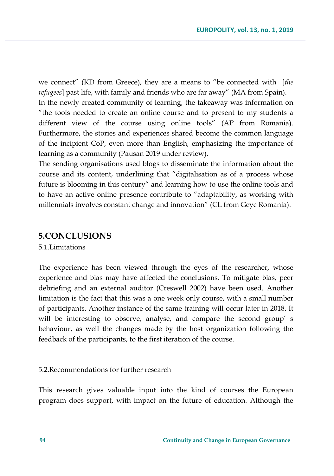we connect" (KD from Greece), they are a means to "be connected with [*the refugees*] past life, with family and friends who are far away" (MA from Spain). In the newly created community of learning, the takeaway was information on "the tools needed to create an online course and to present to my students a different view of the course using online tools" (AP from Romania). Furthermore, the stories and experiences shared become the common language of the incipient CoP, even more than English, emphasizing the importance of learning as a community (Pausan 2019 under review).

The sending organisations used blogs to disseminate the information about the course and its content, underlining that "digitalisation as of a process whose future is blooming in this century" and learning how to use the online tools and to have an active online presence contribute to "adaptability, as working with millennials involves constant change and innovation" (CL from Geyc Romania).

## **5.CONCLUSIONS**

5.1.Limitations

The experience has been viewed through the eyes of the researcher, whose experience and bias may have affected the conclusions. To mitigate bias, peer debriefing and an external auditor (Creswell 2002) have been used. Another limitation is the fact that this was a one week only course, with a small number of participants. Another instance of the same training will occur later in 2018. It will be interesting to observe, analyse, and compare the second group' s behaviour, as well the changes made by the host organization following the feedback of the participants, to the first iteration of the course.

#### 5.2.Recommendations for further research

This research gives valuable input into the kind of courses the European program does support, with impact on the future of education. Although the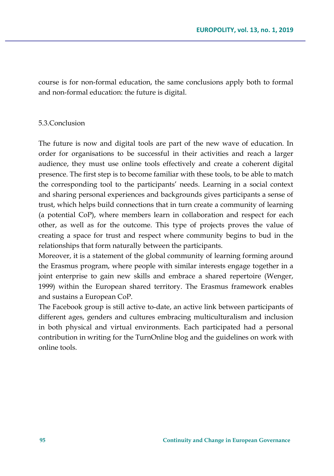course is for non-formal education, the same conclusions apply both to formal and non-formal education: the future is digital.

### 5.3.Conclusion

The future is now and digital tools are part of the new wave of education. In order for organisations to be successful in their activities and reach a larger audience, they must use online tools effectively and create a coherent digital presence. The first step is to become familiar with these tools, to be able to match the corresponding tool to the participants' needs. Learning in a social context and sharing personal experiences and backgrounds gives participants a sense of trust, which helps build connections that in turn create a community of learning (a potential CoP), where members learn in collaboration and respect for each other, as well as for the outcome. This type of projects proves the value of creating a space for trust and respect where community begins to bud in the relationships that form naturally between the participants.

Moreover, it is a statement of the global community of learning forming around the Erasmus program, where people with similar interests engage together in a joint enterprise to gain new skills and embrace a shared repertoire (Wenger, 1999) within the European shared territory. The Erasmus framework enables and sustains a European CoP.

The Facebook group is still active to-date, an active link between participants of different ages, genders and cultures embracing multiculturalism and inclusion in both physical and virtual environments. Each participated had a personal contribution in writing for the TurnOnline blog and the guidelines on work with online tools.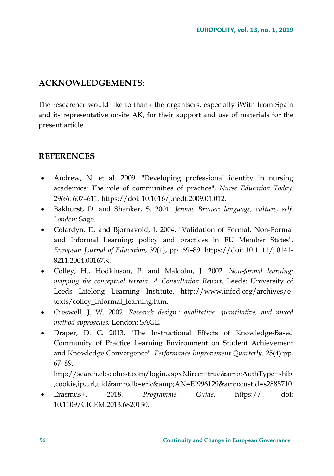# **ACKNOWLEDGEMENTS**:

The researcher would like to thank the organisers, especially iWith from Spain and its representative onsite AK, for their support and use of materials for the present article.

# **REFERENCES**

- Andrew, N. et al. 2009. "Developing professional identity in nursing academics: The role of communities of practice", *Nurse Education Today*. 29(6): 607–611. https://doi: 10.1016/j.nedt.2009.01.012.
- Bakhurst, D. and Shanker, S. 2001. *Jerome Bruner: language, culture, self. London*: Sage.
- Colardyn, D. and Bjornavold, J. 2004. "Validation of Formal, Non-Formal and Informal Learning: policy and practices in EU Member States", *European Journal of Education*, 39(1), pp. 69–89. https://doi: 10.1111/j.0141- 8211.2004.00167.x.
- Colley, H., Hodkinson, P. and Malcolm, J. 2002. *Non-formal learning: mapping the conceptual terrain. A Consultation Report*. Leeds: University of Leeds Lifelong Learning Institute. http://www.infed.org/archives/etexts/colley\_informal\_learning.htm.
- Creswell, J. W. 2002. *Research design : qualitative, quantitative, and mixed method approaches.* London: SAGE.
- Draper, D. C. 2013. "The Instructional Effects of Knowledge-Based Community of Practice Learning Environment on Student Achievement and Knowledge Convergence". *Performance Improvement Quarterly*. 25(4):pp. 67–89.

http://search.ebscohost.com/login.aspx?direct=true&AuthType=shib ,cookie,ip,url,uid&db=eric&AN=EJ996129&custid=s2888710

• Erasmus+. 2018. *Programme Guide.* https:// doi: 10.1109/CICEM.2013.6820130.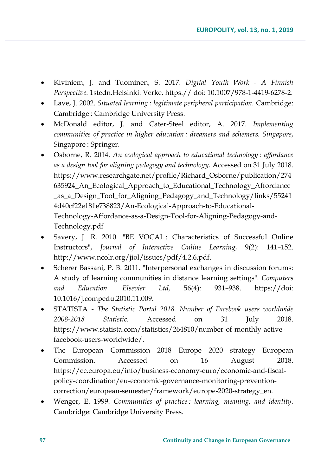- Kiviniem, J. and Tuominen, S. 2017. *Digital Youth Work - A Finnish Perspective.* 1stedn.Helsinki: Verke. https:// doi: 10.1007/978-1-4419-6278-2.
- Lave, J. 2002. *Situated learning : legitimate peripheral participation.* Cambridge: Cambridge : Cambridge University Press.
- McDonald editor, J. and Cater-Steel editor, A. 2017. *Implementing communities of practice in higher education : dreamers and schemers. Singapore*, Singapore : Springer.
- Osborne, R. 2014. *An ecological approach to educational technology : affordance as a design tool for aligning pedagogy and technology.* Accessed on 31 July 2018. https://www.researchgate.net/profile/Richard\_Osborne/publication/274 635924\_An\_Ecological\_Approach\_to\_Educational\_Technology\_Affordance \_as\_a\_Design\_Tool\_for\_Aligning\_Pedagogy\_and\_Technology/links/55241 4d40cf22e181e738823/An-Ecological-Approach-to-Educational-Technology-Affordance-as-a-Design-Tool-for-Aligning-Pedagogy-and-Technology.pdf
- Savery, J. R. 2010. "BE VOCAL : Characteristics of Successful Online Instructors", *Journal of Interactive Online Learning,* 9(2): 141–152. http://www.ncolr.org/jiol/issues/pdf/4.2.6.pdf.
- Scherer Bassani, P. B. 2011. "Interpersonal exchanges in discussion forums: A study of learning communities in distance learning settings". *Computers and Education. Elsevier Ltd,* 56(4): 931–938. https://doi: 10.1016/j.compedu.2010.11.009.
- STATISTA *The Statistic Portal 2018. Number of Facebook users worldwide 2008-2018 Statistic*. Accessed on 31 July 2018. https://www.statista.com/statistics/264810/number-of-monthly-activefacebook-users-worldwide/.
- The European Commission 2018 Europe 2020 strategy European Commission. Accessed on 16 August 2018. https://ec.europa.eu/info/business-economy-euro/economic-and-fiscalpolicy-coordination/eu-economic-governance-monitoring-preventioncorrection/european-semester/framework/europe-2020-strategy\_en.
- Wenger, E. 1999. *Communities of practice : learning, meaning, and identity*. Cambridge: Cambridge University Press.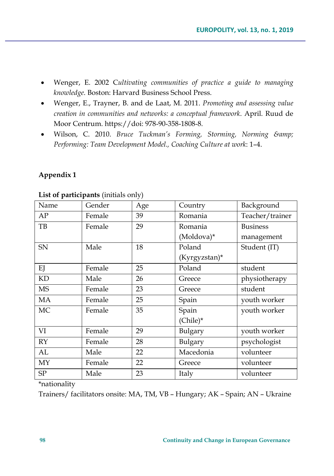- Wenger, E. 2002 C*ultivating communities of practice a guide to managing knowledge*. Boston: Harvard Business School Press.
- Wenger, E., Trayner, B. and de Laat, M. 2011. *Promoting and assessing value creation in communities and networks: a conceptual framework*. April. Ruud de Moor Centrum. https://doi: 978-90-358-1808-8.
- Wilson, C. 2010. *Bruce Tuckman's Forming, Storming, Norming & Performing: Team Development Model., Coaching Culture at work*: 1–4.

## **Appendix 1**

| Name       | Gender | Age | Country       | Background      |
|------------|--------|-----|---------------|-----------------|
| AP         | Female | 39  | Romania       | Teacher/trainer |
| TB         | Female | 29  | Romania       | <b>Business</b> |
|            |        |     | (Moldova)*    | management      |
| SN         | Male   | 18  | Poland        | Student (IT)    |
|            |        |     | (Kyrgyzstan)* |                 |
| EJ         | Female | 25  | Poland        | student         |
| KD         | Male   | 26  | Greece        | physiotherapy   |
| <b>MS</b>  | Female | 23  | Greece        | student         |
| MA         | Female | 25  | Spain         | youth worker    |
| MC         | Female | 35  | Spain         | youth worker    |
|            |        |     | (Chile)*      |                 |
| VI         | Female | 29  | Bulgary       | youth worker    |
| RY         | Female | 28  | Bulgary       | psychologist    |
| AL         | Male   | 22  | Macedonia     | volunteer       |
| MY         | Female | 22  | Greece        | volunteer       |
| ${\rm SP}$ | Male   | 23  | Italy         | volunteer       |

**List of participants** (initials only)

\*nationality

Trainers/ facilitators onsite: MA, TM, VB – Hungary; AK – Spain; AN – Ukraine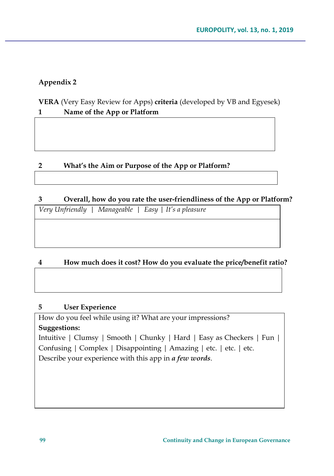# **Appendix 2**

**VERA** (Very Easy Review for Apps) **criteria** (developed by VB and Egyesek) **1 Name of the App or Platform**

# **2 What's the Aim or Purpose of the App or Platform?**

# **3 Overall, how do you rate the user-friendliness of the App or Platform?**

*Very Unfriendly | Manageable | Easy | It's a pleasure*

# **4 How much does it cost? How do you evaluate the price/benefit ratio?**

## **5 User Experience**

How do you feel while using it? What are your impressions? **Suggestions:** Intuitive | Clumsy | Smooth | Chunky | Hard | Easy as Checkers | Fun | Confusing | Complex | Disappointing | Amazing | etc. | etc. | etc. Describe your experience with this app in *a few words*.